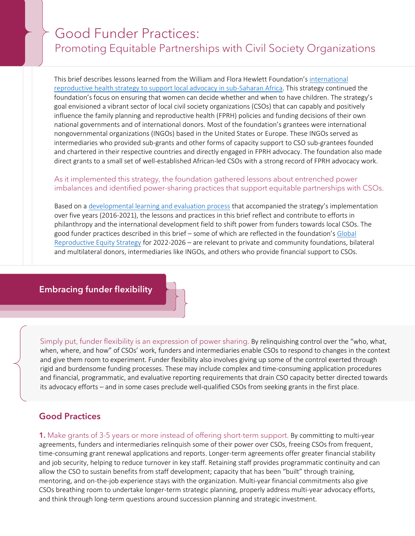# ľ Good Funder Practices: Promoting Equitable Partnerships with Civil Society Organizations

This brief describes lessons learned from the William and Flora Hewlett Foundation's [international](https://hewlett.org/wp-content/uploads/2016/11/Supporting-Local-Advocacy-in-Sub-Saharan-Africa.pdf)  [reproductive health strategy to support local advocacy in sub-Saharan Africa.](https://hewlett.org/wp-content/uploads/2016/11/Supporting-Local-Advocacy-in-Sub-Saharan-Africa.pdf) This strategy continued the foundation's focus on ensuring that women can decide whether and when to have children. The strategy's goal envisioned a vibrant sector of local civil society organizations (CSOs) that can capably and positively influence the family planning and reproductive health (FPRH) policies and funding decisions of their own national governments and of international donors. Most of the foundation's grantees were international nongovernmental organizations (INGOs) based in the United States or Europe. These INGOs served as intermediaries who provided sub-grants and other forms of capacity support to CSO sub-grantees founded and chartered in their respective countries and directly engaged in FPRH advocacy. The foundation also made direct grants to a small set of well-established African-led CSOs with a strong record of FPRH advocacy work.

### As it implemented this strategy, the foundation gathered lessons about entrenched power imbalances and identified power-sharing practices that support equitable partnerships with CSOs.

Based on [a developmental learning and evaluation process](https://hewlett.org/wp-content/uploads/2022/03/Global-Reproductive-Equity-Strategy-Evaluation-2022-English.pdf) that accompanied the strategy's implementation over five years (2016-2021), the lessons and practices in this brief reflect and contribute to efforts in philanthropy and the international development field to shift power from funders towards local CSOs. The good funder practices described in this brief – some of which are reflected in the foundation's [Global](https://hewlett.org/wp-content/uploads/2021/09/Hewlett-Foundation-Global-Reproductive-Equity-Strategy-English.pdf)  [Reproductive Equity Strategy](https://hewlett.org/wp-content/uploads/2021/09/Hewlett-Foundation-Global-Reproductive-Equity-Strategy-English.pdf) for 2022-2026 – are relevant to private and community foundations, bilateral and multilateral donors, intermediaries like INGOs, and others who provide financial support to CSOs.

# Embracing funder flexibility

Simply put, funder flexibility is an expression of power sharing. By relinquishing control over the "who, what, when, where, and how" of CSOs' work, funders and intermediaries enable CSOs to respond to changes in the context and give them room to experiment. Funder flexibility also involves giving up some of the control exerted through rigid and burdensome funding processes. These may include complex and time-consuming application procedures and financial, programmatic, and evaluative reporting requirements that drain CSO capacity better directed towards its advocacy efforts – and in some cases preclude well-qualified CSOs from seeking grants in the first place.

# Good Practices

1. Make grants of 3-5 years or more instead of offering short-term support. By committing to multi-year agreements, funders and intermediaries relinquish some of their power over CSOs, freeing CSOs from frequent, time-consuming grant renewal applications and reports. Longer-term agreements offer greater financial stability and job security, helping to reduce turnover in key staff. Retaining staff provides programmatic continuity and can allow the CSO to sustain benefits from staff development; capacity that has been "built" through training, mentoring, and on-the-job experience stays with the organization. Multi-year financial commitments also give CSOs breathing room to undertake longer-term strategic planning, properly address multi-year advocacy efforts, and think through long-term questions around succession planning and strategic investment.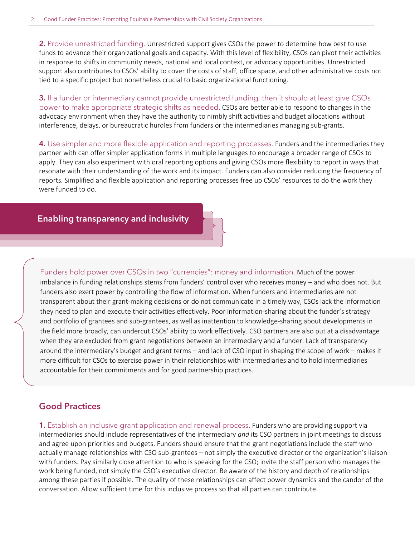2. Provide unrestricted funding. Unrestricted support gives CSOs the power to determine how best to use funds to advance their organizational goals and capacity. With this level of flexibility, CSOs can pivot their activities in response to shifts in community needs, national and local context, or advocacy opportunities. Unrestricted support also contributes to CSOs' ability to cover the costs of staff, office space, and other administrative costs not tied to a specific project but nonetheless crucial to basic organizational functioning.

**3.** If a funder or intermediary cannot provide unrestricted funding, then it should at least give CSOs power to make appropriate strategic shifts as needed. CSOs are better able to respond to changes in the advocacy environment when they have the authority to nimbly shift activities and budget allocations without interference, delays, or bureaucratic hurdles from funders or the intermediaries managing sub-grants.

4. Use simpler and more flexible application and reporting processes. Funders and the intermediaries they partner with can offer simpler application forms in multiple languages to encourage a broader range of CSOs to apply. They can also experiment with oral reporting options and giving CSOs more flexibility to report in ways that resonate with their understanding of the work and its impact. Funders can also consider reducing the frequency of reports. Simplified and flexible application and reporting processes free up CSOs' resources to do the work they were funded to do.

#### ĺ Enabling transparency and inclusivity

Funders hold power over CSOs in two "currencies": money and information. Much of the power imbalance in funding relationships stems from funders' control over who receives money – and who does not. But funders also exert power by controlling the flow of information. When funders and intermediaries are not transparent about their grant-making decisions or do not communicate in a timely way, CSOs lack the information they need to plan and execute their activities effectively. Poor information-sharing about the funder's strategy and portfolio of grantees and sub-grantees, as well as inattention to knowledge-sharing about developments in the field more broadly, can undercut CSOs' ability to work effectively. CSO partners are also put at a disadvantage when they are excluded from grant negotiations between an intermediary and a funder. Lack of transparency around the intermediary's budget and grant terms – and lack of CSO input in shaping the scope of work – makes it more difficult for CSOs to exercise power in their relationships with intermediaries and to hold intermediaries accountable for their commitments and for good partnership practices.

## Good Practices

1. Establish an inclusive grant application and renewal process. Funders who are providing support via intermediaries should include representatives of the intermediary *and* its CSO partners in joint meetings to discuss and agree upon priorities and budgets. Funders should ensure that the grant negotiations include the staff who actually manage relationships with CSO sub-grantees – not simply the executive director or the organization's liaison with funders. Pay similarly close attention to who is speaking for the CSO; invite the staff person who manages the work being funded, not simply the CSO's executive director. Be aware of the history and depth of relationships among these parties if possible. The quality of these relationships can affect power dynamics and the candor of the conversation. Allow sufficient time for this inclusive process so that all parties can contribute.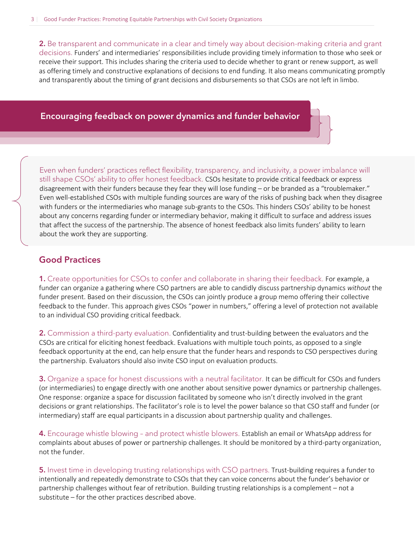2. Be transparent and communicate in a clear and timely way about decision-making criteria and grant decisions. Funders' and intermediaries' responsibilities include providing timely information to those who seek or receive their support. This includes sharing the criteria used to decide whether to grant or renew support, as well as offering timely and constructive explanations of decisions to end funding. It also means communicating promptly and transparently about the timing of grant decisions and disbursements so that CSOs are not left in limbo.

### Encouraging feedback on power dynamics and funder behavior

Even when funders' practices reflect flexibility, transparency, and inclusivity, a power imbalance will still shape CSOs' ability to offer honest feedback. CSOs hesitate to provide critical feedback or express disagreement with their funders because they fear they will lose funding – or be branded as a "troublemaker." Even well-established CSOs with multiple funding sources are wary of the risks of pushing back when they disagree with funders or the intermediaries who manage sub-grants to the CSOs. This hinders CSOs' ability to be honest about any concerns regarding funder or intermediary behavior, making it difficult to surface and address issues that affect the success of the partnership. The absence of honest feedback also limits funders' ability to learn about the work they are supporting.

### Good Practices

1. Create opportunities for CSOs to confer and collaborate in sharing their feedback. For example, a funder can organize a gathering where CSO partners are able to candidly discuss partnership dynamics *without* the funder present. Based on their discussion, the CSOs can jointly produce a group memo offering their collective feedback to the funder. This approach gives CSOs "power in numbers," offering a level of protection not available to an individual CSO providing critical feedback.

2. Commission a third-party evaluation. Confidentiality and trust-building between the evaluators and the CSOs are critical for eliciting honest feedback. Evaluations with multiple touch points, as opposed to a single feedback opportunity at the end, can help ensure that the funder hears and responds to CSO perspectives during the partnership. Evaluators should also invite CSO input on evaluation products.

**3.** Organize a space for honest discussions with a neutral facilitator. It can be difficult for CSOs and funders (or intermediaries) to engage directly with one another about sensitive power dynamics or partnership challenges. One response: organize a space for discussion facilitated by someone who isn't directly involved in the grant decisions or grant relationships. The facilitator's role is to level the power balance so that CSO staff and funder (or intermediary) staff are equal participants in a discussion about partnership quality and challenges.

4. Encourage whistle blowing – and protect whistle blowers. Establish an email or WhatsApp address for complaints about abuses of power or partnership challenges. It should be monitored by a third-party organization, not the funder.

**5.** Invest time in developing trusting relationships with CSO partners. Trust-building requires a funder to intentionally and repeatedly demonstrate to CSOs that they can voice concerns about the funder's behavior or partnership challenges without fear of retribution. Building trusting relationships is a complement – not a substitute – for the other practices described above.